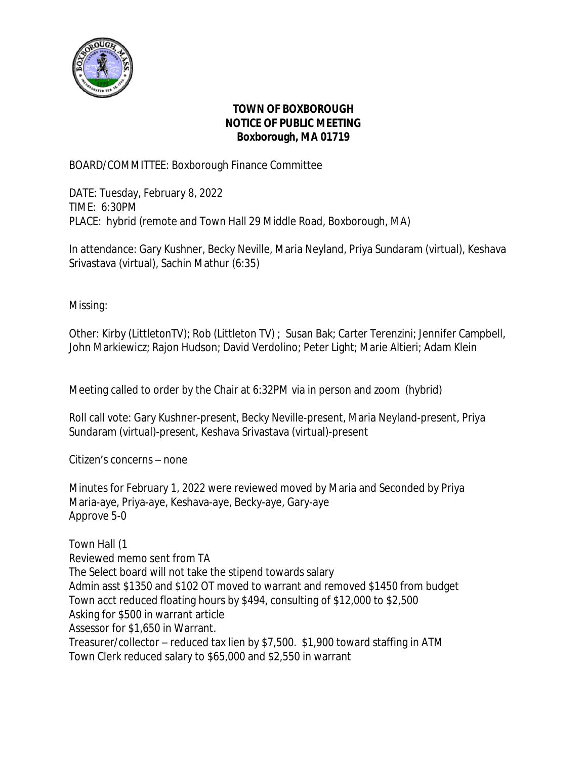

## **TOWN OF BOXBOROUGH NOTICE OF PUBLIC MEETING Boxborough, MA 01719**

BOARD/COMMITTEE: Boxborough Finance Committee

DATE: Tuesday, February 8, 2022 TIME: 6:30PM PLACE: hybrid (remote and Town Hall 29 Middle Road, Boxborough, MA)

In attendance: Gary Kushner, Becky Neville, Maria Neyland, Priya Sundaram (virtual), Keshava Srivastava (virtual), Sachin Mathur (6:35)

Missing:

Other: Kirby (LittletonTV); Rob (Littleton TV) ; Susan Bak; Carter Terenzini; Jennifer Campbell, John Markiewicz; Rajon Hudson; David Verdolino; Peter Light; Marie Altieri; Adam Klein

Meeting called to order by the Chair at 6:32PM via in person and zoom (hybrid)

Roll call vote: Gary Kushner-present, Becky Neville-present, Maria Neyland-present, Priya Sundaram (virtual)-present, Keshava Srivastava (virtual)-present

Citizen's concerns – none

Minutes for February 1, 2022 were reviewed moved by Maria and Seconded by Priya Maria-aye, Priya-aye, Keshava-aye, Becky-aye, Gary-aye Approve 5-0

Town Hall (1 Reviewed memo sent from TA The Select board will not take the stipend towards salary Admin asst \$1350 and \$102 OT moved to warrant and removed \$1450 from budget Town acct reduced floating hours by \$494, consulting of \$12,000 to \$2,500 Asking for \$500 in warrant article Assessor for \$1,650 in Warrant. Treasurer/collector – reduced tax lien by \$7,500. \$1,900 toward staffing in ATM Town Clerk reduced salary to \$65,000 and \$2,550 in warrant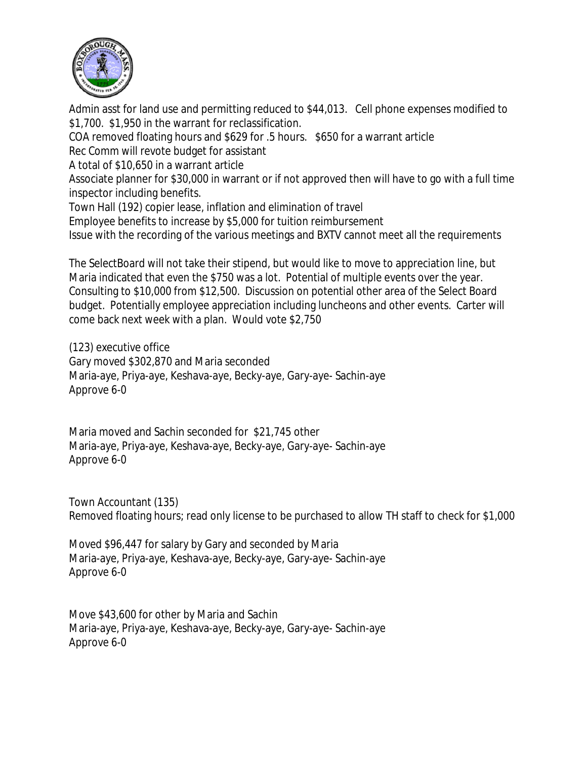

Admin asst for land use and permitting reduced to \$44,013. Cell phone expenses modified to \$1,700. \$1,950 in the warrant for reclassification.

COA removed floating hours and \$629 for .5 hours. \$650 for a warrant article

Rec Comm will revote budget for assistant

A total of \$10,650 in a warrant article

Associate planner for \$30,000 in warrant or if not approved then will have to go with a full time inspector including benefits.

Town Hall (192) copier lease, inflation and elimination of travel

Employee benefits to increase by \$5,000 for tuition reimbursement

Issue with the recording of the various meetings and BXTV cannot meet all the requirements

The SelectBoard will not take their stipend, but would like to move to appreciation line, but Maria indicated that even the \$750 was a lot. Potential of multiple events over the year. Consulting to \$10,000 from \$12,500. Discussion on potential other area of the Select Board budget. Potentially employee appreciation including luncheons and other events. Carter will come back next week with a plan. Would vote \$2,750

(123) executive office Gary moved \$302,870 and Maria seconded Maria-aye, Priya-aye, Keshava-aye, Becky-aye, Gary-aye- Sachin-aye Approve 6-0

Maria moved and Sachin seconded for \$21,745 other Maria-aye, Priya-aye, Keshava-aye, Becky-aye, Gary-aye- Sachin-aye Approve 6-0

Town Accountant (135) Removed floating hours; read only license to be purchased to allow TH staff to check for \$1,000

Moved \$96,447 for salary by Gary and seconded by Maria Maria-aye, Priya-aye, Keshava-aye, Becky-aye, Gary-aye- Sachin-aye Approve 6-0

Move \$43,600 for other by Maria and Sachin Maria-aye, Priya-aye, Keshava-aye, Becky-aye, Gary-aye- Sachin-aye Approve 6-0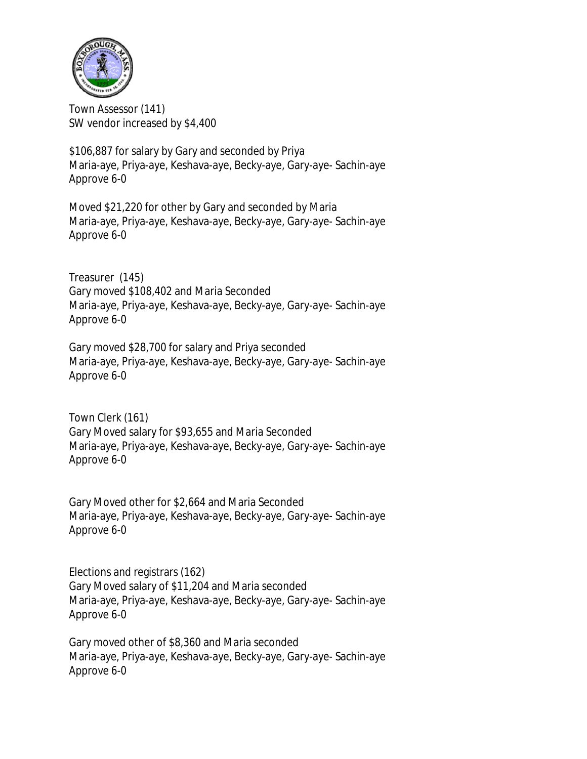

Town Assessor (141) SW vendor increased by \$4,400

\$106,887 for salary by Gary and seconded by Priya Maria-aye, Priya-aye, Keshava-aye, Becky-aye, Gary-aye- Sachin-aye Approve 6-0

Moved \$21,220 for other by Gary and seconded by Maria Maria-aye, Priya-aye, Keshava-aye, Becky-aye, Gary-aye- Sachin-aye Approve 6-0

Treasurer (145) Gary moved \$108,402 and Maria Seconded Maria-aye, Priya-aye, Keshava-aye, Becky-aye, Gary-aye- Sachin-aye Approve 6-0

Gary moved \$28,700 for salary and Priya seconded Maria-aye, Priya-aye, Keshava-aye, Becky-aye, Gary-aye- Sachin-aye Approve 6-0

Town Clerk (161) Gary Moved salary for \$93,655 and Maria Seconded Maria-aye, Priya-aye, Keshava-aye, Becky-aye, Gary-aye- Sachin-aye Approve 6-0

Gary Moved other for \$2,664 and Maria Seconded Maria-aye, Priya-aye, Keshava-aye, Becky-aye, Gary-aye- Sachin-aye Approve 6-0

Elections and registrars (162) Gary Moved salary of \$11,204 and Maria seconded Maria-aye, Priya-aye, Keshava-aye, Becky-aye, Gary-aye- Sachin-aye Approve 6-0

Gary moved other of \$8,360 and Maria seconded Maria-aye, Priya-aye, Keshava-aye, Becky-aye, Gary-aye- Sachin-aye Approve 6-0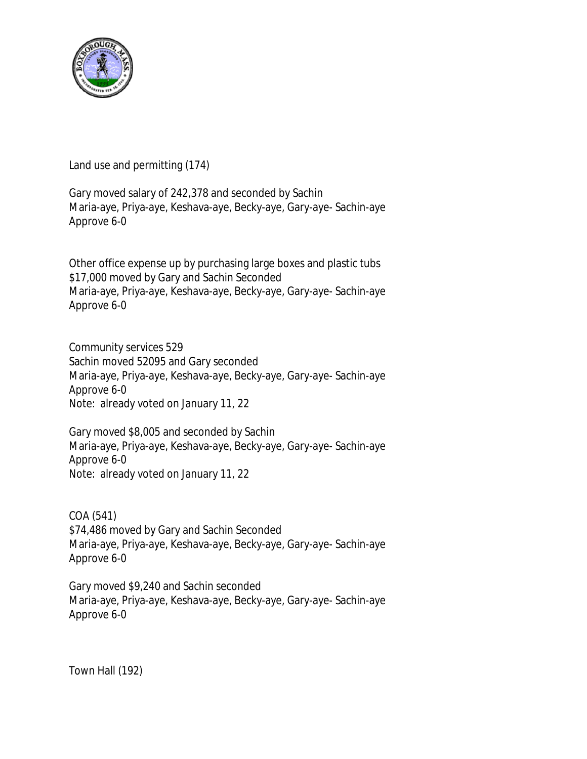

Land use and permitting (174)

Gary moved salary of 242,378 and seconded by Sachin Maria-aye, Priya-aye, Keshava-aye, Becky-aye, Gary-aye- Sachin-aye Approve 6-0

Other office expense up by purchasing large boxes and plastic tubs \$17,000 moved by Gary and Sachin Seconded Maria-aye, Priya-aye, Keshava-aye, Becky-aye, Gary-aye- Sachin-aye Approve 6-0

Community services 529 Sachin moved 52095 and Gary seconded Maria-aye, Priya-aye, Keshava-aye, Becky-aye, Gary-aye- Sachin-aye Approve 6-0 Note: already voted on January 11, 22

Gary moved \$8,005 and seconded by Sachin Maria-aye, Priya-aye, Keshava-aye, Becky-aye, Gary-aye- Sachin-aye Approve 6-0 Note: already voted on January 11, 22

COA (541) \$74,486 moved by Gary and Sachin Seconded Maria-aye, Priya-aye, Keshava-aye, Becky-aye, Gary-aye- Sachin-aye Approve 6-0

Gary moved \$9,240 and Sachin seconded Maria-aye, Priya-aye, Keshava-aye, Becky-aye, Gary-aye- Sachin-aye Approve 6-0

Town Hall (192)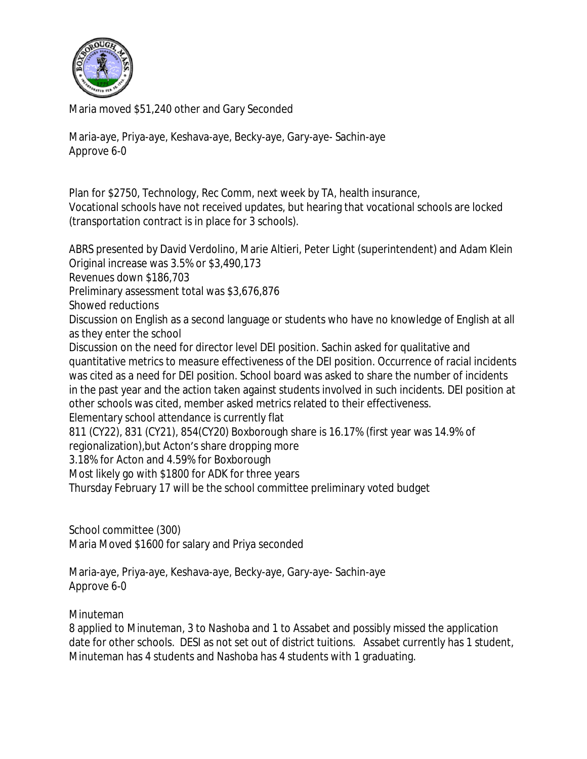

Maria moved \$51,240 other and Gary Seconded

Maria-aye, Priya-aye, Keshava-aye, Becky-aye, Gary-aye- Sachin-aye Approve 6-0

Plan for \$2750, Technology, Rec Comm, next week by TA, health insurance, Vocational schools have not received updates, but hearing that vocational schools are locked (transportation contract is in place for 3 schools).

ABRS presented by David Verdolino, Marie Altieri, Peter Light (superintendent) and Adam Klein Original increase was 3.5% or \$3,490,173 Revenues down \$186,703 Preliminary assessment total was \$3,676,876 Showed reductions Discussion on English as a second language or students who have no knowledge of English at all as they enter the school Discussion on the need for director level DEI position. Sachin asked for qualitative and quantitative metrics to measure effectiveness of the DEI position. Occurrence of racial incidents was cited as a need for DEI position. School board was asked to share the number of incidents in the past year and the action taken against students involved in such incidents. DEI position at other schools was cited, member asked metrics related to their effectiveness. Elementary school attendance is currently flat 811 (CY22), 831 (CY21), 854(CY20) Boxborough share is 16.17% (first year was 14.9% of regionalization),but Acton's share dropping more 3.18% for Acton and 4.59% for Boxborough Most likely go with \$1800 for ADK for three years Thursday February 17 will be the school committee preliminary voted budget

School committee (300) Maria Moved \$1600 for salary and Priya seconded

Maria-aye, Priya-aye, Keshava-aye, Becky-aye, Gary-aye- Sachin-aye Approve 6-0

Minuteman

8 applied to Minuteman, 3 to Nashoba and 1 to Assabet and possibly missed the application date for other schools. DESI as not set out of district tuitions. Assabet currently has 1 student, Minuteman has 4 students and Nashoba has 4 students with 1 graduating.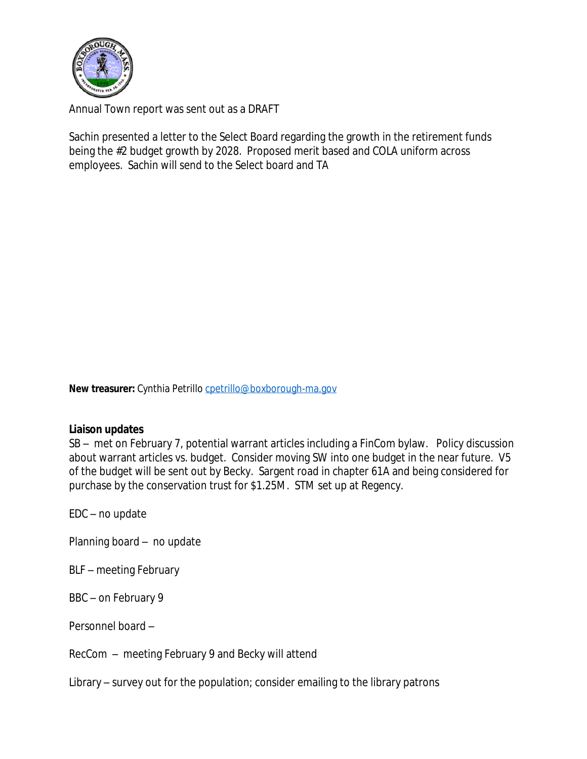

Annual Town report was sent out as a DRAFT

Sachin presented a letter to the Select Board regarding the growth in the retirement funds being the #2 budget growth by 2028. Proposed merit based and COLA uniform across employees. Sachin will send to the Select board and TA

New treasurer: Cynthia Petrillo [cpetrillo@boxborough-ma.gov](mailto:cpetrillo@boxborough-ma.gov)

## **[Liaison updates](mailto:cpetrillo@boxborough-ma.gov)**

[SB](mailto:cpetrillo@boxborough-ma.gov) [–](mailto:cpetrillo@boxborough-ma.gov) [met on February 7, potential warrant articles including a FinCom bylaw. Policy discussion](mailto:cpetrillo@boxborough-ma.gov)  [about warrant articles vs. budget. Consider moving SW into one budget in the near future. V5](mailto:cpetrillo@boxborough-ma.gov) [of the budget will be sent out by Becky. Sargent road in chapter 61A and being considered for](mailto:cpetrillo@boxborough-ma.gov)  [purchase by the](mailto:cpetrillo@boxborough-ma.gov) [conservation trust for \\$1.25M. STM set up at Regency.](mailto:cpetrillo@boxborough-ma.gov)

[EDC](mailto:cpetrillo@boxborough-ma.gov) [–](mailto:cpetrillo@boxborough-ma.gov) [no update](mailto:cpetrillo@boxborough-ma.gov)

[Planning board](mailto:cpetrillo@boxborough-ma.gov) [–](mailto:cpetrillo@boxborough-ma.gov) [no update](mailto:cpetrillo@boxborough-ma.gov)

[BLF](mailto:cpetrillo@boxborough-ma.gov) [–](mailto:cpetrillo@boxborough-ma.gov) [meeting February](mailto:cpetrillo@boxborough-ma.gov)

[BBC](mailto:cpetrillo@boxborough-ma.gov) [–](mailto:cpetrillo@boxborough-ma.gov) [on February 9](mailto:cpetrillo@boxborough-ma.gov)

[Personnel board](mailto:cpetrillo@boxborough-ma.gov) [–](mailto:cpetrillo@boxborough-ma.gov)

[RecCom](mailto:cpetrillo@boxborough-ma.gov) [–](mailto:cpetrillo@boxborough-ma.gov) [meeting February 9 and Becky will attend](mailto:cpetrillo@boxborough-ma.gov)

[Library](mailto:cpetrillo@boxborough-ma.gov) [–](mailto:cpetrillo@boxborough-ma.gov) [survey out for the population; consider emailing to the library patrons](mailto:cpetrillo@boxborough-ma.gov)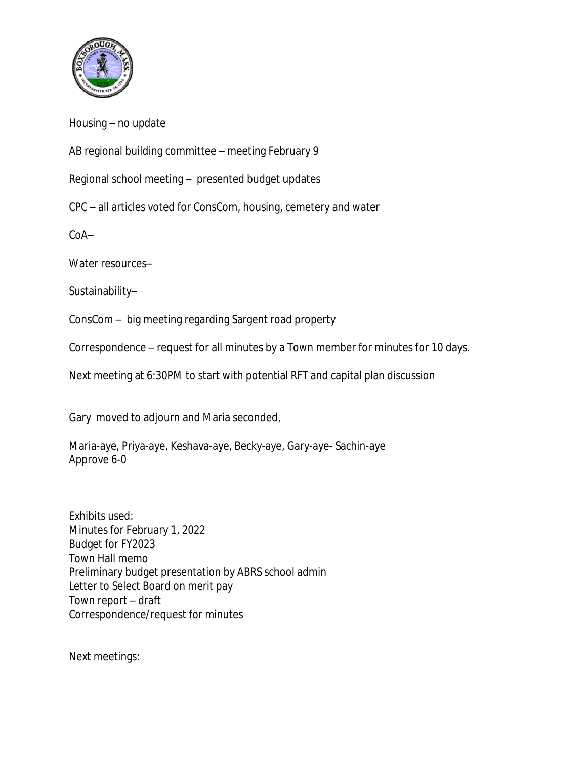

Housing – no update

AB regional building committee – meeting February 9

Regional school meeting – presented budget updates

CPC – all articles voted for ConsCom, housing, cemetery and water

CoA–

Water resources–

Sustainability–

ConsCom – big meeting regarding Sargent road property

Correspondence – request for all minutes by a Town member for minutes for 10 days.

Next meeting at 6:30PM to start with potential RFT and capital plan discussion

Gary moved to adjourn and Maria seconded,

Maria-aye, Priya-aye, Keshava-aye, Becky-aye, Gary-aye- Sachin-aye Approve 6-0

Exhibits used: Minutes for February 1, 2022 Budget for FY2023 Town Hall memo Preliminary budget presentation by ABRS school admin Letter to Select Board on merit pay Town report – draft Correspondence/request for minutes

Next meetings: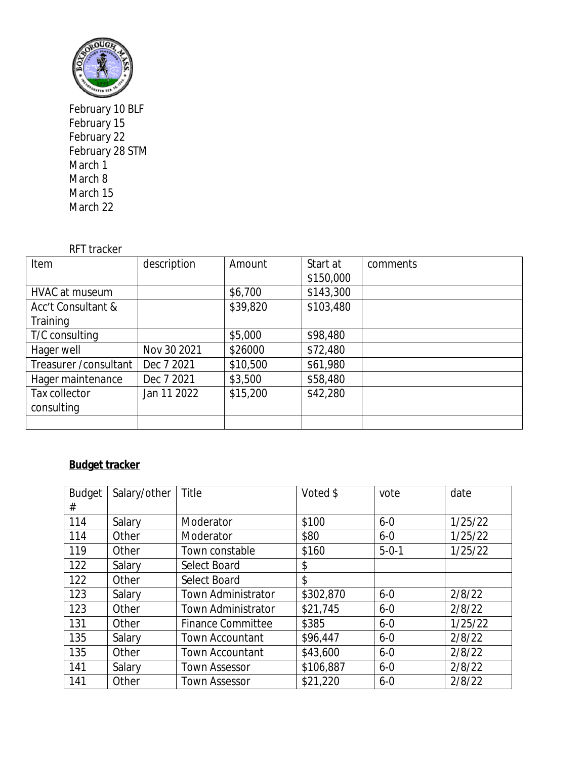

February 10 BLF February 15 February 22 February 28 STM March 1 March 8 March 15 March 22

## RFT tracker

| Item                   | description | Amount   | Start at  | comments |
|------------------------|-------------|----------|-----------|----------|
|                        |             |          | \$150,000 |          |
| HVAC at museum         |             | \$6,700  | \$143,300 |          |
| Acc't Consultant &     |             | \$39,820 | \$103,480 |          |
| Training               |             |          |           |          |
| T/C consulting         |             | \$5,000  | \$98,480  |          |
| Hager well             | Nov 30 2021 | \$26000  | \$72,480  |          |
| Treasurer / consultant | Dec 7 2021  | \$10,500 | \$61,980  |          |
| Hager maintenance      | Dec 7 2021  | \$3,500  | \$58,480  |          |
| Tax collector          | Jan 11 2022 | \$15,200 | \$42,280  |          |
| consulting             |             |          |           |          |
|                        |             |          |           |          |

## **Budget tracker**

| <b>Budget</b> | Salary/other | Title                     | Voted \$  | vote        | date    |
|---------------|--------------|---------------------------|-----------|-------------|---------|
| #             |              |                           |           |             |         |
| 114           | Salary       | Moderator                 | \$100     | $6 - 0$     | 1/25/22 |
| 114           | Other        | Moderator                 | \$80      | $6 - 0$     | 1/25/22 |
| 119           | Other        | Town constable            | \$160     | $5 - 0 - 1$ | 1/25/22 |
| 122           | Salary       | Select Board              | \$        |             |         |
| 122           | Other        | Select Board              | \$        |             |         |
| 123           | Salary       | <b>Town Administrator</b> | \$302,870 | $6 - 0$     | 2/8/22  |
| 123           | Other        | <b>Town Administrator</b> | \$21,745  | $6 - 0$     | 2/8/22  |
| 131           | Other        | <b>Finance Committee</b>  | \$385     | $6 - 0$     | 1/25/22 |
| 135           | Salary       | <b>Town Accountant</b>    | \$96,447  | $6 - 0$     | 2/8/22  |
| 135           | Other        | <b>Town Accountant</b>    | \$43,600  | $6 - 0$     | 2/8/22  |
| 141           | Salary       | <b>Town Assessor</b>      | \$106,887 | $6 - 0$     | 2/8/22  |
| 141           | Other        | <b>Town Assessor</b>      | \$21,220  | $6 - 0$     | 2/8/22  |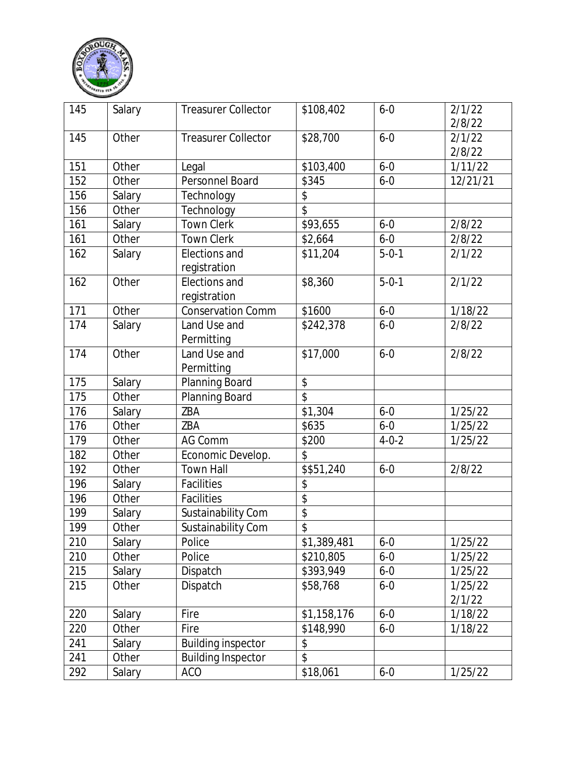

| 145 | Salary | <b>Treasurer Collector</b>    | \$108,402                | $6 - 0$     | 2/1/22<br>2/8/22  |
|-----|--------|-------------------------------|--------------------------|-------------|-------------------|
| 145 | Other  | <b>Treasurer Collector</b>    | \$28,700                 | $6 - 0$     | 2/1/22            |
|     |        |                               |                          |             | 2/8/22            |
| 151 | Other  | Legal                         | \$103,400                | $6 - 0$     | 1/11/22           |
| 152 | Other  | Personnel Board               | \$345                    | $6 - 0$     | 12/21/21          |
| 156 | Salary | Technology                    | \$                       |             |                   |
| 156 | Other  | Technology                    | \$                       |             |                   |
| 161 | Salary | <b>Town Clerk</b>             | \$93,655                 | $6 - 0$     | 2/8/22            |
| 161 | Other  | <b>Town Clerk</b>             | \$2,664                  | $6 - 0$     | 2/8/22            |
| 162 | Salary | Elections and<br>registration | \$11,204                 | $5 - 0 - 1$ | 2/1/22            |
| 162 | Other  | Elections and<br>registration | \$8,360                  | $5 - 0 - 1$ | 2/1/22            |
| 171 | Other  | <b>Conservation Comm</b>      | \$1600                   | $6 - 0$     | 1/18/22           |
| 174 | Salary | Land Use and<br>Permitting    | \$242,378                | $6 - 0$     | 2/8/22            |
| 174 | Other  | Land Use and<br>Permitting    | \$17,000                 | $6 - 0$     | 2/8/22            |
| 175 | Salary | Planning Board                | \$                       |             |                   |
| 175 | Other  | Planning Board                | \$                       |             |                   |
| 176 | Salary | ZBA                           | \$1,304                  | $6 - 0$     | 1/25/22           |
| 176 | Other  | ZBA                           | \$635                    | $6 - 0$     | 1/25/22           |
| 179 | Other  | AG Comm                       | \$200                    | $4 - 0 - 2$ | 1/25/22           |
| 182 | Other  | Economic Develop.             | \$                       |             |                   |
| 192 | Other  | <b>Town Hall</b>              | \$\$51,240               | $6 - 0$     | 2/8/22            |
| 196 | Salary | Facilities                    | \$                       |             |                   |
| 196 | Other  | Facilities                    | $\overline{\mathcal{L}}$ |             |                   |
| 199 | Salary | Sustainability Com            | \$                       |             |                   |
| 199 | Other  | Sustainability Com            | $\overline{\mathcal{S}}$ |             |                   |
| 210 | Salary | Police                        | \$1,389,481              | $6-0$       | 1/25/22           |
| 210 | Other  | Police                        | \$210,805                | $6 - 0$     | 1/25/22           |
| 215 | Salary | Dispatch                      | \$393,949                | $6 - 0$     | 1/25/22           |
| 215 | Other  | Dispatch                      | \$58,768                 | $6 - 0$     | 1/25/22<br>2/1/22 |
| 220 | Salary | Fire                          | \$1,158,176              | $6 - 0$     | 1/18/22           |
| 220 | Other  | Fire                          | \$148,990                | $6 - 0$     | 1/18/22           |
| 241 | Salary | <b>Building inspector</b>     | \$                       |             |                   |
| 241 | Other  | <b>Building Inspector</b>     | \$                       |             |                   |
| 292 | Salary | <b>ACO</b>                    | \$18,061                 | $6 - 0$     | 1/25/22           |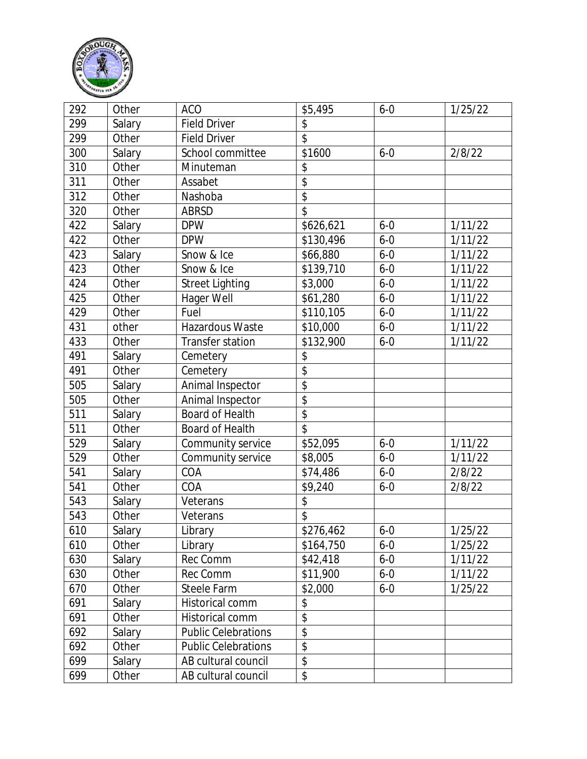

| 292 | Other  | <b>ACO</b>                 | \$5,495         | $6 - 0$ | 1/25/22 |
|-----|--------|----------------------------|-----------------|---------|---------|
| 299 | Salary | <b>Field Driver</b>        | \$              |         |         |
| 299 | Other  | <b>Field Driver</b>        | $\overline{\$}$ |         |         |
| 300 | Salary | School committee           | \$1600          | $6 - 0$ | 2/8/22  |
| 310 | Other  | Minuteman                  | \$              |         |         |
| 311 | Other  | Assabet                    | \$              |         |         |
| 312 | Other  | Nashoba                    | $\overline{\$}$ |         |         |
| 320 | Other  | <b>ABRSD</b>               | \$              |         |         |
| 422 | Salary | <b>DPW</b>                 | \$626,621       | $6 - 0$ | 1/11/22 |
| 422 | Other  | <b>DPW</b>                 | \$130,496       | $6 - 0$ | 1/11/22 |
| 423 | Salary | Snow & Ice                 | \$66,880        | $6 - 0$ | 1/11/22 |
| 423 | Other  | Snow & Ice                 | \$139,710       | $6 - 0$ | 1/11/22 |
| 424 | Other  | <b>Street Lighting</b>     | \$3,000         | $6 - 0$ | 1/11/22 |
| 425 | Other  | Hager Well                 | \$61,280        | $6 - 0$ | 1/11/22 |
| 429 | Other  | Fuel                       | \$110,105       | $6 - 0$ | 1/11/22 |
| 431 | other  | Hazardous Waste            | \$10,000        | $6 - 0$ | 1/11/22 |
| 433 | Other  | Transfer station           | \$132,900       | $6 - 0$ | 1/11/22 |
| 491 | Salary | Cemetery                   | \$              |         |         |
| 491 | Other  | Cemetery                   | \$              |         |         |
| 505 | Salary | Animal Inspector           | $\overline{\$}$ |         |         |
| 505 | Other  | Animal Inspector           | \$              |         |         |
| 511 | Salary | Board of Health            | $\overline{\$}$ |         |         |
| 511 | Other  | Board of Health            | \$              |         |         |
| 529 | Salary | Community service          | \$52,095        | $6 - 0$ | 1/11/22 |
| 529 | Other  | Community service          | \$8,005         | $6 - 0$ | 1/11/22 |
| 541 | Salary | COA                        | \$74,486        | $6 - 0$ | 2/8/22  |
| 541 | Other  | COA                        | \$9,240         | $6 - 0$ | 2/8/22  |
| 543 | Salary | Veterans                   | \$              |         |         |
| 543 | Other  | Veterans                   | \$              |         |         |
| 610 | Salary | Library                    | \$276,462       | $6 - 0$ | 1/25/22 |
| 610 | Other  | Library                    | \$164,750       | $6 - 0$ | 1/25/22 |
| 630 | Salary | Rec Comm                   | \$42,418        | $6 - 0$ | 1/11/22 |
| 630 | Other  | Rec Comm                   | \$11,900        | $6 - 0$ | 1/11/22 |
| 670 | Other  | Steele Farm                | \$2,000         | $6 - 0$ | 1/25/22 |
| 691 | Salary | Historical comm            | \$              |         |         |
| 691 | Other  | Historical comm            | $\overline{\$}$ |         |         |
| 692 | Salary | <b>Public Celebrations</b> | \$              |         |         |
| 692 | Other  | <b>Public Celebrations</b> | \$              |         |         |
| 699 | Salary | AB cultural council        | \$              |         |         |
| 699 | Other  | AB cultural council        | \$              |         |         |